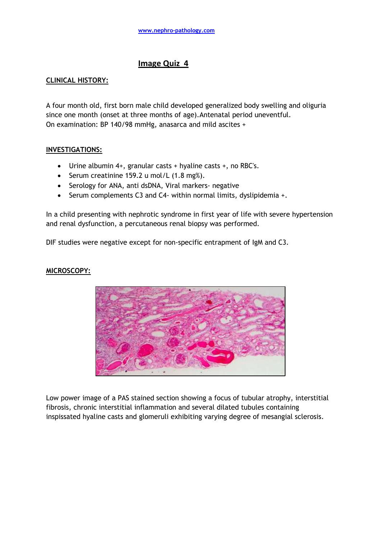# **Image Quiz 4**

## **CLINICAL HISTORY:**

A four month old, first born male child developed generalized body swelling and oliguria since one month (onset at three months of age).Antenatal period uneventful. On examination: BP 140/98 mmHg, anasarca and mild ascites +

## **INVESTIGATIONS:**

- Urine albumin 4+, granular casts + hyaline casts +, no RBC's.
- Serum creatinine 159.2 u mol/L  $(1.8 \text{ mg})$ .
- Serology for ANA, anti dsDNA, Viral markers- negative
- Serum complements C3 and C4- within normal limits, dyslipidemia +.

In a child presenting with nephrotic syndrome in first year of life with severe hypertension and renal dysfunction, a percutaneous renal biopsy was performed.

DIF studies were negative except for non-specific entrapment of IgM and C3.

### **MICROSCOPY:**



Low power image of a PAS stained section showing a focus of tubular atrophy, interstitial fibrosis, chronic interstitial inflammation and several dilated tubules containing inspissated hyaline casts and glomeruli exhibiting varying degree of mesangial sclerosis.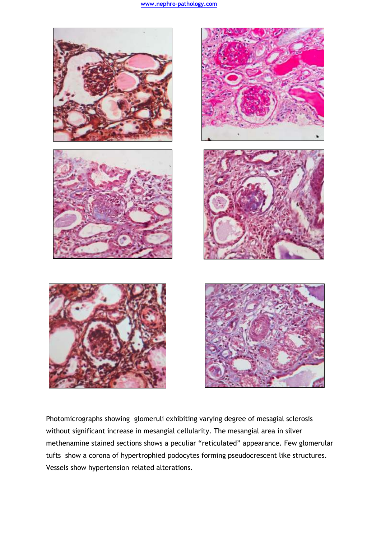

Photomicrographs showing glomeruli exhibiting varying degree of mesagial sclerosis without significant increase in mesangial cellularity. The mesangial area in silver methenamine stained sections shows a peculiar "reticulated" appearance. Few glomerular tufts show a corona of hypertrophied podocytes forming pseudocrescent like structures. Vessels show hypertension related alterations.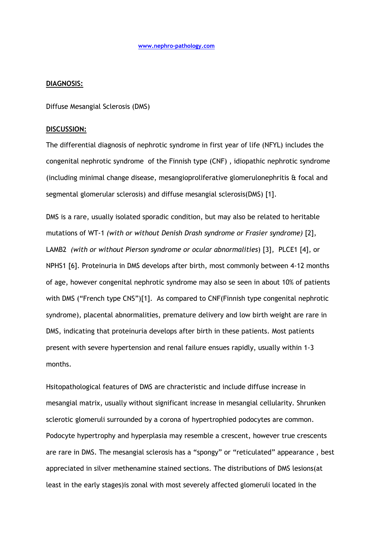#### **DIAGNOSIS:**

Diffuse Mesangial Sclerosis (DMS)

### **DISCUSSION:**

The differential diagnosis of nephrotic syndrome in first year of life (NFYL) includes the congenital nephrotic syndrome of the Finnish type (CNF) , idiopathic nephrotic syndrome (including minimal change disease, mesangioproliferative glomerulonephritis & focal and segmental glomerular sclerosis) and diffuse mesangial sclerosis(DMS) [1].

DMS is a rare, usually isolated sporadic condition, but may also be related to heritable mutations of WT-1 *(with or without Denish Drash syndrome or Frasier syndrome)* [2], LAMB2 *(with or without Pierson syndrome or ocular abnormalities*) [3], PLCE1 [4], or NPHS1 [6]. Proteinuria in DMS develops after birth, most commonly between 4-12 months of age, however congenital nephrotic syndrome may also se seen in about 10% of patients with DMS ("French type CNS")[1]. As compared to CNF(Finnish type congenital nephrotic syndrome), placental abnormalities, premature delivery and low birth weight are rare in DMS, indicating that proteinuria develops after birth in these patients. Most patients present with severe hypertension and renal failure ensues rapidly, usually within 1-3 months.

Hsitopathological features of DMS are chracteristic and include diffuse increase in mesangial matrix, usually without significant increase in mesangial cellularity. Shrunken sclerotic glomeruli surrounded by a corona of hypertrophied podocytes are common. Podocyte hypertrophy and hyperplasia may resemble a crescent, however true crescents are rare in DMS. The mesangial sclerosis has a "spongy" or "reticulated" appearance , best appreciated in silver methenamine stained sections. The distributions of DMS lesions(at least in the early stages)is zonal with most severely affected glomeruli located in the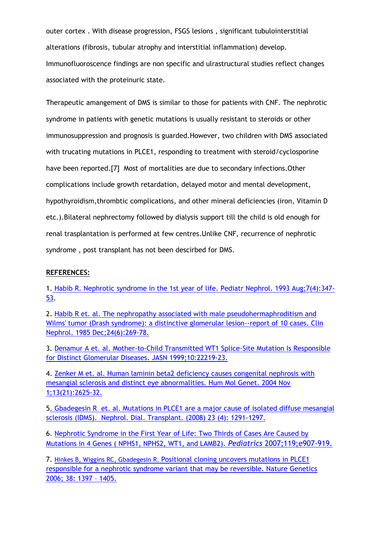outer cortex . With disease progression, FSGS lesions , significant tubulointerstitial alterations (fibrosis, tubular atrophy and interstitial inflammation) develop. Immunofluoroscence findings are non specific and ulrastructural studies reflect changes associated with the proteinuric state.

Therapeutic amangement of DMS is similar to those for patients with CNF. The nephrotic syndrome in patients with genetic mutations is usually resistant to steroids or other immunosuppression and prognosis is guarded.However, two children with DMS associated with trucating mutations in PLCE1, responding to treatment with steroid/cyclosporine have been reported.[7] Most of mortalities are due to secondary infections.Other complications include growth retardation, delayed motor and mental development, hypothyroidism,thrombtic complications, and other mineral deficiencies (iron, Vitamin D etc.).Bilateral nephrectomy followed by dialysis support till the child is old enough for renal trasplantation is performed at few centres.Unlike CNF, recurrence of nephrotic syndrome , post transplant has not been descirbed for DMS.

## **REFERENCES:**

1. [Habib R. Nephrotic syndrome in the 1st year of life. Pediatr Nephrol. 1993 Aug;7\(4\):347-](http://www.ncbi.nlm.nih.gov/pubmed/8398639) [53.](http://www.ncbi.nlm.nih.gov/pubmed/8398639)

2. [Habib R et. al. The nephropathy associated with male pseudohermaphroditism and](http://www.ncbi.nlm.nih.gov/pubmed/3000666)  [Wilms' tumor \(Drash syndrome\): a distinctive glomerular lesion--report of 10 cases. Clin](http://www.ncbi.nlm.nih.gov/pubmed/3000666)  [Nephrol. 1985 Dec;24\(6\):269-78.](http://www.ncbi.nlm.nih.gov/pubmed/3000666)

3. [Denamur A et. al. Mother-to-Child Transmitted WT1 Splice-Site Mutation Is Responsible](http://jasn.asnjournals.org/content/10/10/2219.full.pdf+html)  [for Distinct Glomerular Diseases. JASN 1999;10:22219-23.](http://jasn.asnjournals.org/content/10/10/2219.full.pdf+html)

4. [Zenker M et. al. Human laminin beta2 deficiency causes congenital nephrosis with](http://hmg.oxfordjournals.org/content/13/21/2625.long)  [mesangial sclerosis and distinct eye abnormalities. Hum Mol Genet. 2004 Nov](http://hmg.oxfordjournals.org/content/13/21/2625.long)  [1;13\(21\):2625-32.](http://hmg.oxfordjournals.org/content/13/21/2625.long)

[5. Gbadegesin R et. al. Mutations in PLCE1 are a major cause of isolated diffuse mesangial](http://ndt.oxfordjournals.org/content/23/4/1291.full)  [sclerosis \(IDMS\). Nephrol. Dial. Transplant. \(2008\) 23 \(4\): 1291-1297.](http://ndt.oxfordjournals.org/content/23/4/1291.full)

6. [Nephrotic Syndrome in the First Year of Life: Two Thirds of Cases Are Caused](http://www.pediatricsdigest.mobi/content/119/4/e907.full.pdf+html) by [Mutations in 4 Genes \( NPHS1, NPHS2, WT1, and LAMB2\).](http://www.pediatricsdigest.mobi/content/119/4/e907.full.pdf+html) *Pediatrics* 2007;119;e907-919.

7. Hinkes B, Wiggins RC, Gbadegesin R. [Positional cloning uncovers mutations in PLCE1](http://www.nature.com/ng/journal/v38/n12/abs/ng1918.html)  [responsible for a nephrotic syndrome variant that may be reversible. Nature Genetics](http://www.nature.com/ng/journal/v38/n12/abs/ng1918.html)  [2006; 38: 1397](http://www.nature.com/ng/journal/v38/n12/abs/ng1918.html) – 1405.